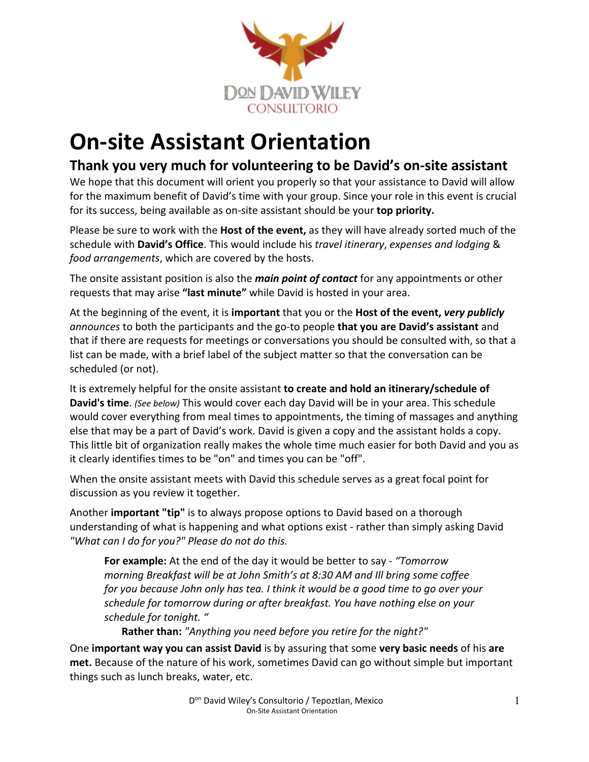

# **On-site Assistant Orientation**

## **Thank you very much for volunteering to be David's on-site assistant**

We hope that this document will orient you properly so that your assistance to David will allow for the maximum benefit of David's time with your group. Since your role in this event is crucial for its success, being available as on-site assistant should be your **top priority.**

Please be sure to work with the **Host of the event,** as they will have already sorted much of the schedule with **David's Office**. This would include his *travel itinerary*, *expenses and lodging* & *food arrangements*, which are covered by the hosts.

The onsite assistant position is also the *main point of contact* for any appointments or other requests that may arise **"last minute"** while David is hosted in your area.

At the beginning of the event, it is **important** that you or the **Host of the event,** *very publicly announces* to both the participants and the go-to people **that you are David's assistant** and that if there are requests for meetings or conversations you should be consulted with, so that a list can be made, with a brief label of the subject matter so that the conversation can be scheduled (or not).

It is extremely helpful for the onsite assistant **to create and hold an itinerary/schedule of David's time**. *(See below)* This would cover each day David will be in your area. This schedule would cover everything from meal times to appointments, the timing of massages and anything else that may be a part of David's work. David is given a copy and the assistant holds a copy. This little bit of organization really makes the whole time much easier for both David and you as it clearly identifies times to be "on" and times you can be "off".

When the onsite assistant meets with David this schedule serves as a great focal point for discussion as you review it together.

Another **important "tip"** is to always propose options to David based on a thorough understanding of what is happening and what options exist - rather than simply asking David *"What can I do for you?" Please do not do this.*

**For example:** At the end of the day it would be better to say - *"Tomorrow morning Breakfast will be at John Smith's at 8:30 AM and Ill bring some coffee for you because John only has tea. I think it would be a good time to go over your schedule for tomorrow during or after breakfast. You have nothing else on your schedule for tonight. "*

**Rather than:** *"Anything you need before you retire for the night?"*

One **important way you can assist David** is by assuring that some **very basic needs** of his **are met.** Because of the nature of his work, sometimes David can go without simple but important things such as lunch breaks, water, etc.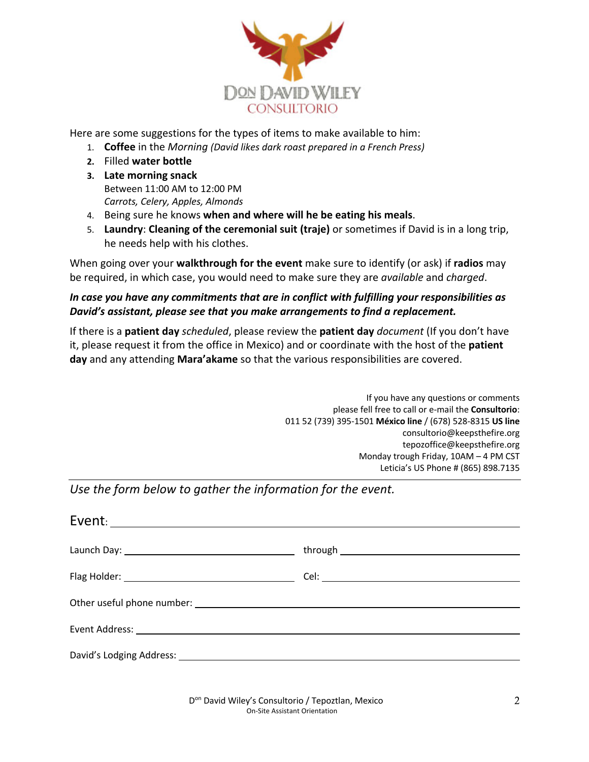

Here are some suggestions for the types of items to make available to him:

- 1. **Coffee** in the *Morning (David likes dark roast prepared in a French Press)*
- **2.** Filled **water bottle**
- **3. Late morning snack**  Between 11:00 AM to 12:00 PM *Carrots, Celery, Apples, Almonds*
- 4. Being sure he knows **when and where will he be eating his meals**.
- 5. **Laundry**: **Cleaning of the ceremonial suit (traje)** or sometimes if David is in a long trip, he needs help with his clothes.

When going over your **walkthrough for the event** make sure to identify (or ask) if **radios** may be required, in which case, you would need to make sure they are *available* and *charged*.

### *In case you have any commitments that are in conflict with fulfilling your responsibilities as David's assistant, please see that you make arrangements to find a replacement.*

If there is a **patient day** *scheduled*, please review the **patient day** *document* (If you don't have it, please request it from the office in Mexico) and or coordinate with the host of the **patient day** and any attending **Mara'akame** so that the various responsibilities are covered.

> If you have any questions or comments please fell free to call or e-mail the **Consultorio**: 011 52 (739) 395-1501 **México line** / (678) 528-8315 **US line** consultorio@keepsthefire.org tepozoffice@keepsthefire.org Monday trough Friday, 10AM – 4 PM CST Leticia's US Phone # (865) 898.7135

*Use the form below to gather the information for the event.*